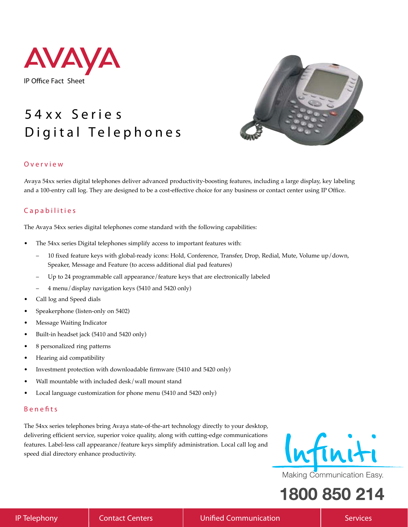

# **5 4 x x S e r i e s D i g i t a l T e l e p h o n e s**



#### **O v e r v i e w**

Avaya 54xx series digital telephones deliver advanced productivity-boosting features, including a large display, key labeling and a 100-entry call log. They are designed to be a cost-effective choice for any business or contact center using IP Office.

### **C a p a b i l i t i e s**

The Avaya 54xx series digital telephones come standard with the following capabilities:

- The 54xx series Digital telephones simplify access to important features with:
	- 10 fixed feature keys with global-ready icons: Hold, Conference, Transfer, Drop, Redial, Mute, Volume up/down, Speaker, Message and Feature (to access additional dial pad features)
	- Up to 24 programmable call appearance/feature keys that are electronically labeled
	- 4 menu/display navigation keys (5410 and 5420 only)
- Call log and Speed dials
- Speakerphone (listen-only on 5402)
- Message Waiting Indicator
- Built-in headset jack (5410 and 5420 only)
- 8 personalized ring patterns
- Hearing aid compatibility
- Investment protection with downloadable firmware (5410 and 5420 only)
- Wall mountable with included desk/wall mount stand
- Local language customization for phone menu (5410 and 5420 only)

#### **B e n e ! t s**

The 54xx series telephones bring Avaya state-of-the-art technology directly to your desktop, delivering efficient service, superior voice quality, along with cutting-edge communications features. Label-less call appearance/feature keys simplify administration. Local call log and speed dial directory enhance productivity.